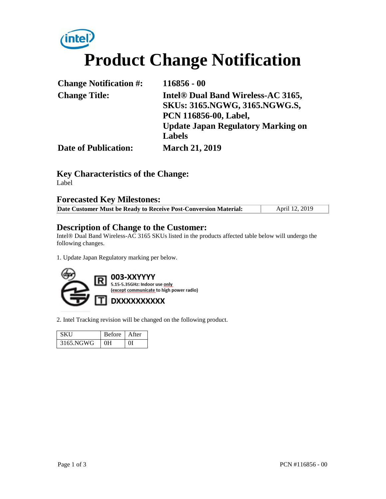# inte **Product Change Notification**

| <b>Change Notification #:</b> | $116856 - 00$                             |
|-------------------------------|-------------------------------------------|
| <b>Change Title:</b>          | Intel® Dual Band Wireless-AC 3165,        |
|                               | <b>SKUs: 3165.NGWG, 3165.NGWG.S,</b>      |
|                               | PCN 116856-00, Label,                     |
|                               | <b>Update Japan Regulatory Marking on</b> |
|                               | <b>Labels</b>                             |
| <b>Date of Publication:</b>   | <b>March 21, 2019</b>                     |

### **Key Characteristics of the Change:**

Label

#### **Forecasted Key Milestones:**

| Date Customer Must be Ready to Receive Post-Conversion Material: | April 12, 2019 |
|------------------------------------------------------------------|----------------|

#### **Description of Change to the Customer:**

Intel® Dual Band Wireless-AC 3165 SKUs listed in the products affected table below will undergo the following changes.

1. Update Japan Regulatory marking per below.



2. Intel Tracking revision will be changed on the following product.

|           | Before   After |  |
|-----------|----------------|--|
| 3165.NGWG | OН             |  |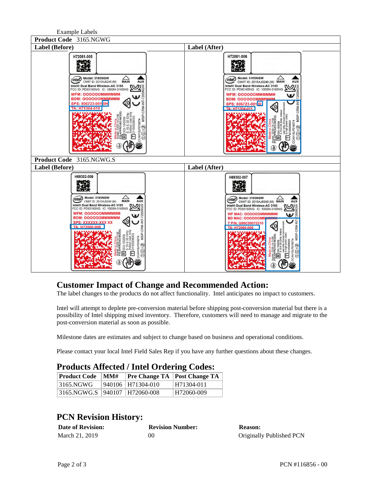Example Labels



#### **Customer Impact of Change and Recommended Action:**

The label changes to the products do not affect functionality. Intel anticipates no impact to customers.

Intel will attempt to deplete pre-conversion material before shipping post-conversion material but there is a possibility of Intel shipping mixed inventory. Therefore, customers will need to manage and migrate to the post-conversion material as soon as possible.

Milestone dates are estimates and subject to change based on business and operational conditions.

Please contact your local Intel Field Sales Rep if you have any further questions about these changes.

#### **Products Affected / Intel Ordering Codes:**

| <b>Product Code</b>               | MMH |                   | <b>Pre Change TA Post Change TA</b> |
|-----------------------------------|-----|-------------------|-------------------------------------|
| 3165.NGWG                         |     | 940106 H71304-010 | H71304-011                          |
| 3165.NGWG.S   940107   H72060-008 |     |                   | H72060-009                          |

## **PCN Revision History:**

| <b>Date of Revision:</b> | <b>Revision Number:</b> | <b>Reason:</b>           |
|--------------------------|-------------------------|--------------------------|
| March 21, 2019           | 00                      | Originally Published PCN |